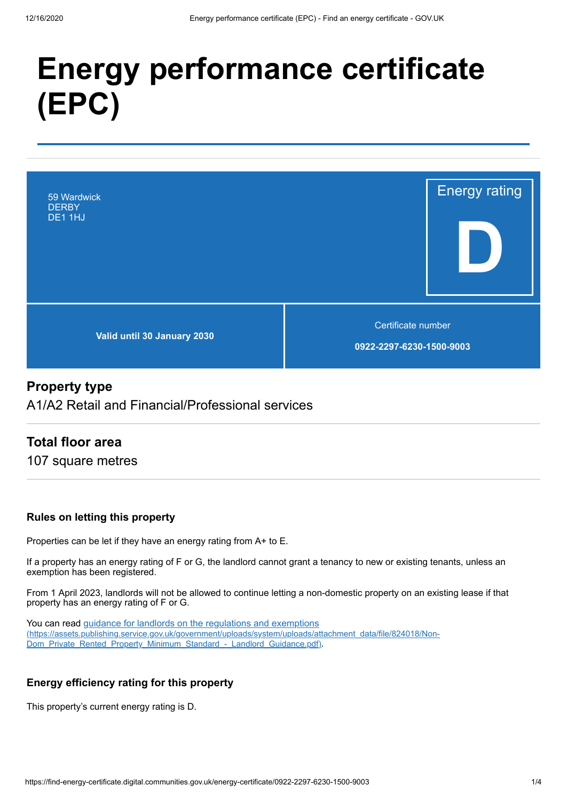# **Energy performance certificate (EPC)**



# **Property type**

A1/A2 Retail and Financial/Professional services

# **Total floor area**

107 square metres

#### **Rules on letting this property**

Properties can be let if they have an energy rating from A+ to E.

If a property has an energy rating of F or G, the landlord cannot grant a tenancy to new or existing tenants, unless an exemption has been registered.

From 1 April 2023, landlords will not be allowed to continue letting a non-domestic property on an existing lease if that property has an energy rating of F or G.

You can read guidance for landlords on the regulations and exemptions [\(https://assets.publishing.service.gov.uk/government/uploads/system/uploads/attachment\\_data/file/824018/Non-](https://assets.publishing.service.gov.uk/government/uploads/system/uploads/attachment_data/file/824018/Non-Dom_Private_Rented_Property_Minimum_Standard_-_Landlord_Guidance.pdf)Dom\_Private\_Rented\_Property\_Minimum\_Standard\_-\_Landlord\_Guidance.pdf).

#### **Energy efficiency rating for this property**

This property's current energy rating is D.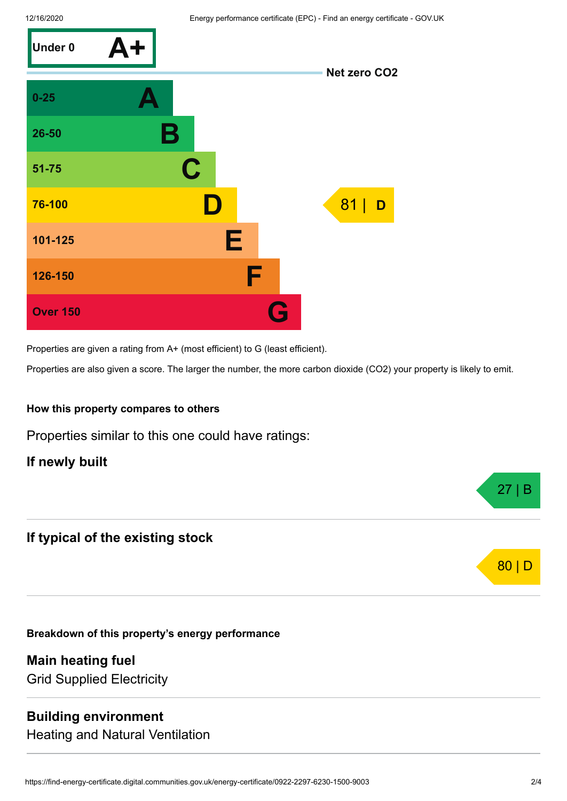

Properties are given a rating from A+ (most efficient) to G (least efficient).

Properties are also given a score. The larger the number, the more carbon dioxide (CO2) your property is likely to emit.

#### **How this property compares to others**

Properties similar to this one could have ratings:

**If newly built**

# **If typical of the existing stock**

**Breakdown of this property's energy performance**

**Main heating fuel** Grid Supplied Electricity

#### **Building environment**

Heating and Natural Ventilation



27 | B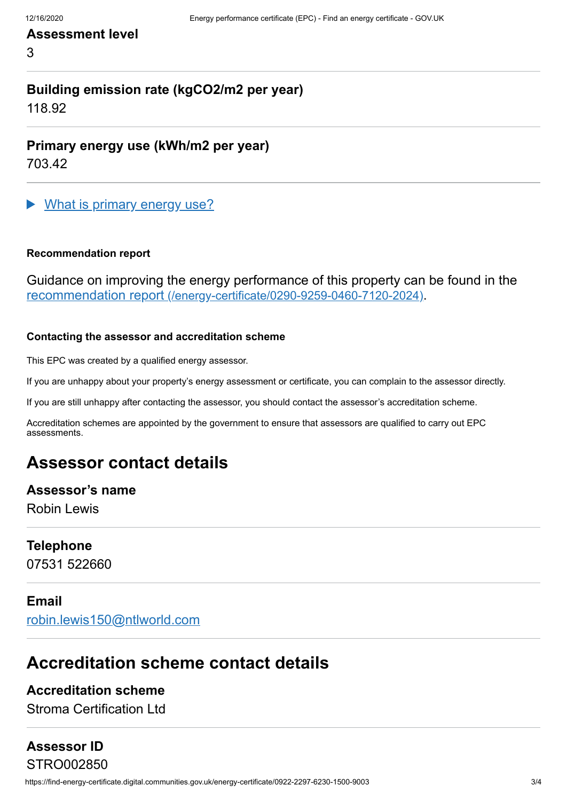## **Assessment level**

3

# **Building emission rate (kgCO2/m2 per year)**

118.92

#### **Primary energy use (kWh/m2 per year)**

703.42

What is primary energy use?

#### **Recommendation report**

Guidance on improving the energy performance of this property can be found in the recommendation report [\(/energy-certificate/0290-9259-0460-7120-2024\)](https://find-energy-certificate.digital.communities.gov.uk/energy-certificate/0290-9259-0460-7120-2024).

#### **Contacting the assessor and accreditation scheme**

This EPC was created by a qualified energy assessor.

If you are unhappy about your property's energy assessment or certificate, you can complain to the assessor directly.

If you are still unhappy after contacting the assessor, you should contact the assessor's accreditation scheme.

Accreditation schemes are appointed by the government to ensure that assessors are qualified to carry out EPC assessments.

# **Assessor contact details**

#### **Assessor's name**

Robin Lewis

#### **Telephone**

07531 522660

#### **Email**

[robin.lewis150@ntlworld.com](mailto:robin.lewis150@ntlworld.com)

# **Accreditation scheme contact details**

#### **Accreditation scheme**

Stroma Certification Ltd

# **Assessor ID**

https://find-energy-certificate.digital.communities.gov.uk/energy-certificate/0922-2297-6230-1500-9003 3/4 STRO002850